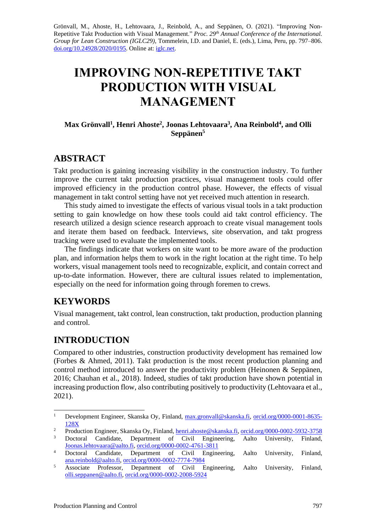Grönvall, M., Ahoste, H., Lehtovaara, J., Reinbold, A., and Seppänen, O. (2021). "Improving Non-Repetitive Takt Production with Visual Management." *Proc. 29 th Annual Conference of the International. Group for Lean Construction (IGLC29)*, Tommelein, I.D. and Daniel, E. (eds.)*,* Lima, Peru, pp. 797–806. [doi.org/10.24928/2020/0195.](https://doi.org/10.24928/2020/0195) Online at[: iglc.net.](https://www.iglc.net/)

# **IMPROVING NON-REPETITIVE TAKT PRODUCTION WITH VISUAL MANAGEMENT**

#### **Max Grönvall<sup>1</sup> , Henri Ahoste<sup>2</sup> , Joonas Lehtovaara<sup>3</sup> , Ana Reinbold<sup>4</sup> , and Olli Seppänen<sup>5</sup>**

### **ABSTRACT**

Takt production is gaining increasing visibility in the construction industry. To further improve the current takt production practices, visual management tools could offer improved efficiency in the production control phase. However, the effects of visual management in takt control setting have not yet received much attention in research.

This study aimed to investigate the effects of various visual tools in a takt production setting to gain knowledge on how these tools could aid takt control efficiency. The research utilized a design science research approach to create visual management tools and iterate them based on feedback. Interviews, site observation, and takt progress tracking were used to evaluate the implemented tools.

The findings indicate that workers on site want to be more aware of the production plan, and information helps them to work in the right location at the right time. To help workers, visual management tools need to recognizable, explicit, and contain correct and up-to-date information. However, there are cultural issues related to implementation, especially on the need for information going through foremen to crews.

### **KEYWORDS**

Visual management, takt control, lean construction, takt production, production planning and control.

# **INTRODUCTION**

Compared to other industries, construction productivity development has remained low (Forbes & Ahmed, 2011). Takt production is the most recent production planning and control method introduced to answer the productivity problem (Heinonen & Seppänen, 2016; Chauhan et al., 2018). Indeed, studies of takt production have shown potential in increasing production flow, also contributing positively to productivity (Lehtovaara et al., 2021).

<sup>&</sup>lt;sup>1</sup> Development Engineer, Skanska Oy, Finland, [max.gronvall@skanska.fi,](mailto:max.gronvall@skanska.fi) [orcid.org/0000-0001-8635-](https://orcid.org/0000-0001-8635-128X) [128X](https://orcid.org/0000-0001-8635-128X)

<sup>&</sup>lt;sup>2</sup> Production Engineer, Skanska Oy, Finland, <u>henri.ahoste@skanska.fi, [orcid.org/0000-0002-5932-3758](https://orcid.org/0000-0002-5932-3758)</u> <sup>3</sup> Doctoral Candidate, Department of Civil Engineering, Aalto University, Finland,

[Joonas.lehtovaara@aalto.fi,](mailto:Joonas.lehtovaara@aalto.fi) [orcid.org/0000-0002-4761-3811](https://orcid.org/0000-0002-4761-3811) <sup>4</sup> Doctoral Candidate, Department of Civil Engineering, Aalto University, Finland, [ana.reinbold@aalto.fi,](mailto:ana.reinbold@aalto.fi) [orcid.org/0000-0002-7774-7984](https://orcid.org/0000-0002-7774-7984)

<sup>&</sup>lt;sup>5</sup> Associate Professor, Department of Civil Engineering, Aalto University, Finland, [olli.seppanen@aalto.fi,](mailto:olli.seppanen@aalto.fi) [orcid.org/0000-0002-2008-5924](https://orcid.org/0000-0002-2008-5924)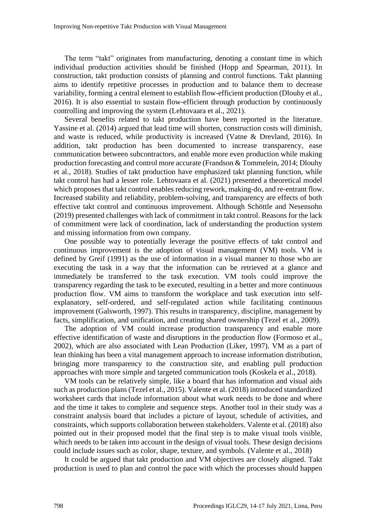The term "takt" originates from manufacturing, denoting a constant time in which individual production activities should be finished (Hopp and Spearman, 2011). In construction, takt production consists of planning and control functions. Takt planning aims to identify repetitive processes in production and to balance them to decrease variability, forming a central element to establish flow-efficient production (Dlouhy et al., 2016). It is also essential to sustain flow-efficient through production by continuously controlling and improving the system (Lehtovaara et al., 2021).

Several benefits related to takt production have been reported in the literature. Yassine et al. (2014) argued that lead time will shorten, construction costs will diminish, and waste is reduced, while productivity is increased (Vatne & Drevland, 2016). In addition, takt production has been documented to increase transparency, ease communication between subcontractors, and enable more even production while making production forecasting and control more accurate (Frandson & Tommelein, 2014; Dlouhy et al., 2018). Studies of takt production have emphasized takt planning function, while takt control has had a lesser role. Lehtovaara et al. (2021) presented a theoretical model which proposes that takt control enables reducing rework, making-do, and re-entrant flow. Increased stability and reliability, problem-solving, and transparency are effects of both effective takt control and continuous improvement. Although Schöttle and Nesensohn (2019) presented challenges with lack of commitment in takt control. Reasons for the lack of commitment were lack of coordination, lack of understanding the production system and missing information from own company.

One possible way to potentially leverage the positive effects of takt control and continuous improvement is the adoption of visual management (VM) tools. VM is defined by Greif (1991) as the use of information in a visual manner to those who are executing the task in a way that the information can be retrieved at a glance and immediately be transferred to the task execution. VM tools could improve the transparency regarding the task to be executed, resulting in a better and more continuous production flow. VM aims to transform the workplace and task execution into selfexplanatory, self-ordered, and self-regulated action while facilitating continuous improvement (Galsworth, 1997). This results in transparency, discipline, management by facts, simplification, and unification, and creating shared ownership (Tezel et al., 2009).

The adoption of VM could increase production transparency and enable more effective identification of waste and disruptions in the production flow (Formoso et al., 2002), which are also associated with Lean Production (Liker, 1997). VM as a part of lean thinking has been a vital management approach to increase information distribution, bringing more transparency to the construction site, and enabling pull production approaches with more simple and targeted communication tools (Koskela et al., 2018).

VM tools can be relatively simple, like a board that has information and visual aids such as production plans (Tezel et al., 2015). Valente et al. (2018) introduced standardized worksheet cards that include information about what work needs to be done and where and the time it takes to complete and sequence steps. Another tool in their study was a constraint analysis board that includes a picture of layout, schedule of activities, and constraints, which supports collaboration between stakeholders. Valente et al. (2018) also pointed out in their proposed model that the final step is to make visual tools visible, which needs to be taken into account in the design of visual tools. These design decisions could include issues such as color, shape, texture, and symbols. (Valente et al., 2018)

It could be argued that takt production and VM objectives are closely aligned. Takt production is used to plan and control the pace with which the processes should happen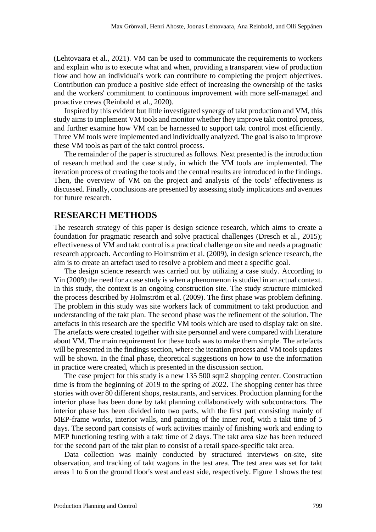(Lehtovaara et al., 2021). VM can be used to communicate the requirements to workers and explain who is to execute what and when, providing a transparent view of production flow and how an individual's work can contribute to completing the project objectives. Contribution can produce a positive side effect of increasing the ownership of the tasks and the workers' commitment to continuous improvement with more self-managed and proactive crews (Reinbold et al., 2020).

Inspired by this evident but little investigated synergy of takt production and VM, this study aims to implement VM tools and monitor whether they improve takt control process, and further examine how VM can be harnessed to support takt control most efficiently. Three VM tools were implemented and individually analyzed. The goal is also to improve these VM tools as part of the takt control process.

The remainder of the paper is structured as follows. Next presented is the introduction of research method and the case study, in which the VM tools are implemented. The iteration process of creating the tools and the central results are introduced in the findings. Then, the overview of VM on the project and analysis of the tools' effectiveness is discussed. Finally, conclusions are presented by assessing study implications and avenues for future research.

#### **RESEARCH METHODS**

The research strategy of this paper is design science research, which aims to create a foundation for pragmatic research and solve practical challenges (Dresch et al., 2015); effectiveness of VM and takt control is a practical challenge on site and needs a pragmatic research approach. According to Holmström et al. (2009), in design science research, the aim is to create an artefact used to resolve a problem and meet a specific goal.

The design science research was carried out by utilizing a case study. According to Yin (2009) the need for a case study is when a phenomenon is studied in an actual context. In this study, the context is an ongoing construction site. The study structure mimicked the process described by Holmström et al. (2009). The first phase was problem defining. The problem in this study was site workers lack of commitment to takt production and understanding of the takt plan. The second phase was the refinement of the solution. The artefacts in this research are the specific VM tools which are used to display takt on site. The artefacts were created together with site personnel and were compared with literature about VM. The main requirement for these tools was to make them simple. The artefacts will be presented in the findings section, where the iteration process and VM tools updates will be shown. In the final phase, theoretical suggestions on how to use the information in practice were created, which is presented in the discussion section.

The case project for this study is a new 135 500 sqm2 shopping center. Construction time is from the beginning of 2019 to the spring of 2022. The shopping center has three stories with over 80 different shops, restaurants, and services. Production planning for the interior phase has been done by takt planning collaboratively with subcontractors. The interior phase has been divided into two parts, with the first part consisting mainly of MEP-frame works, interior walls, and painting of the inner roof, with a takt time of 5 days. The second part consists of work activities mainly of finishing work and ending to MEP functioning testing with a takt time of 2 days. The takt area size has been reduced for the second part of the takt plan to consist of a retail space-specific takt area.

Data collection was mainly conducted by structured interviews on-site, site observation, and tracking of takt wagons in the test area. The test area was set for takt areas 1 to 6 on the ground floor's west and east side, respectively. Figure 1 shows the test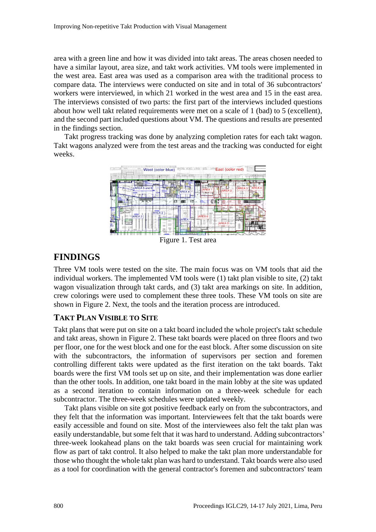area with a green line and how it was divided into takt areas. The areas chosen needed to have a similar layout, area size, and takt work activities. VM tools were implemented in the west area. East area was used as a comparison area with the traditional process to compare data. The interviews were conducted on site and in total of 36 subcontractors' workers were interviewed, in which 21 worked in the west area and 15 in the east area. The interviews consisted of two parts: the first part of the interviews included questions about how well takt related requirements were met on a scale of 1 (bad) to 5 (excellent), and the second part included questions about VM. The questions and results are presented in the findings section.

Takt progress tracking was done by analyzing completion rates for each takt wagon. Takt wagons analyzed were from the test areas and the tracking was conducted for eight weeks.



Figure 1. Test area

# **FINDINGS**

Three VM tools were tested on the site. The main focus was on VM tools that aid the individual workers. The implemented VM tools were (1) takt plan visible to site, (2) takt wagon visualization through takt cards, and (3) takt area markings on site. In addition, crew colorings were used to complement these three tools. These VM tools on site are shown in Figure 2. Next, the tools and the iteration process are introduced.

### **TAKT PLAN VISIBLE TO SITE**

Takt plans that were put on site on a takt board included the whole project's takt schedule and takt areas, shown in Figure 2. These takt boards were placed on three floors and two per floor, one for the west block and one for the east block. After some discussion on site with the subcontractors, the information of supervisors per section and foremen controlling different takts were updated as the first iteration on the takt boards. Takt boards were the first VM tools set up on site, and their implementation was done earlier than the other tools. In addition, one takt board in the main lobby at the site was updated as a second iteration to contain information on a three-week schedule for each subcontractor. The three-week schedules were updated weekly.

Takt plans visible on site got positive feedback early on from the subcontractors, and they felt that the information was important. Interviewees felt that the takt boards were easily accessible and found on site. Most of the interviewees also felt the takt plan was easily understandable, but some felt that it was hard to understand. Adding subcontractors' three-week lookahead plans on the takt boards was seen crucial for maintaining work flow as part of takt control. It also helped to make the takt plan more understandable for those who thought the whole takt plan was hard to understand. Takt boards were also used as a tool for coordination with the general contractor's foremen and subcontractors' team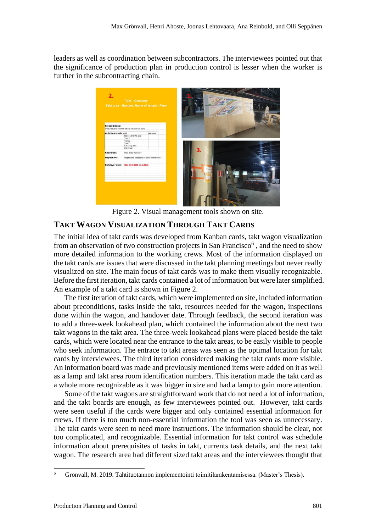leaders as well as coordination between subcontractors. The interviewees pointed out that the significance of production plan in production control is lesser when the worker is further in the subcontracting chain.



Figure 2. Visual management tools shown on site.

#### **TAKT WAGON VISUALIZATION THROUGH TAKT CARDS**

The initial idea of takt cards was developed from Kanban cards, takt wagon visualization from an observation of two construction projects in San Francisco<sup>6</sup>, and the need to show more detailed information to the working crews. Most of the information displayed on the takt cards are issues that were discussed in the takt planning meetings but never really visualized on site. The main focus of takt cards was to make them visually recognizable. Before the first iteration, takt cards contained a lot of information but were latersimplified. An example of a takt card is shown in Figure 2.

The first iteration of takt cards, which were implemented on site, included information about preconditions, tasks inside the takt, resources needed for the wagon, inspections done within the wagon, and handover date. Through feedback, the second iteration was to add a three-week lookahead plan, which contained the information about the next two takt wagons in the takt area. The three-week lookahead plans were placed beside the takt cards, which were located near the entrance to the takt areas, to be easily visible to people who seek information. The entrace to takt areas was seen as the optimal location for takt cards by interviewees. The third iteration considered making the takt cards more visible. An information board was made and previously mentioned items were added on it as well as a lamp and takt area room identification numbers. This iteration made the takt card as a whole more recognizable as it was bigger in size and had a lamp to gain more attention.

Some of the takt wagons are straightforward work that do not need a lot of information, and the takt boards are enough, as few interviewees pointed out. However, takt cards were seen useful if the cards were bigger and only contained essential information for crews. If there is too much non-essential information the tool was seen as unnecessary. The takt cards were seen to need more instructions. The information should be clear, not too complicated, and recognizable. Essential information for takt control was schedule information about prerequisites of tasks in takt, currents task details, and the next takt wagon. The research area had different sized takt areas and the interviewees thought that

<sup>6</sup> Grönvall, M. 2019. Tahtituotannon implementointi toimitilarakentamisessa. (Master's Thesis).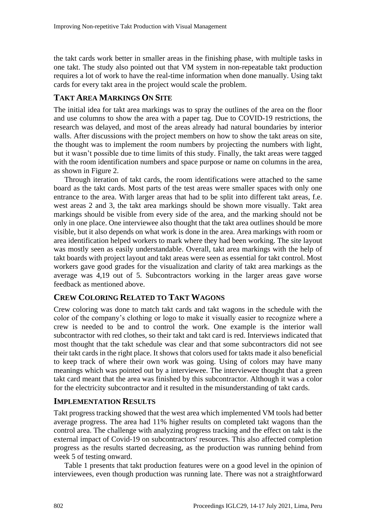the takt cards work better in smaller areas in the finishing phase, with multiple tasks in one takt. The study also pointed out that VM system in non-repeatable takt production requires a lot of work to have the real-time information when done manually. Using takt cards for every takt area in the project would scale the problem.

### **TAKT AREA MARKINGS ON SITE**

The initial idea for takt area markings was to spray the outlines of the area on the floor and use columns to show the area with a paper tag. Due to COVID-19 restrictions, the research was delayed, and most of the areas already had natural boundaries by interior walls. After discussions with the project members on how to show the takt areas on site, the thought was to implement the room numbers by projecting the numbers with light, but it wasn't possible due to time limits of this study. Finally, the takt areas were tagged with the room identification numbers and space purpose or name on columns in the area, as shown in Figure 2.

Through iteration of takt cards, the room identifications were attached to the same board as the takt cards. Most parts of the test areas were smaller spaces with only one entrance to the area. With larger areas that had to be split into different takt areas, f.e. west areas 2 and 3, the takt area markings should be shown more visually. Takt area markings should be visible from every side of the area, and the marking should not be only in one place. One interviewee also thought that the takt area outlines should be more visible, but it also depends on what work is done in the area. Area markings with room or area identification helped workers to mark where they had been working. The site layout was mostly seen as easily understandable. Overall, takt area markings with the help of takt boards with project layout and takt areas were seen as essential for takt control. Most workers gave good grades for the visualization and clarity of takt area markings as the average was 4,19 out of 5. Subcontractors working in the larger areas gave worse feedback as mentioned above.

#### **CREW COLORING RELATED TO TAKT WAGONS**

Crew coloring was done to match takt cards and takt wagons in the schedule with the color of the company's clothing or logo to make it visually easier to recognize where a crew is needed to be and to control the work. One example is the interior wall subcontractor with red clothes, so their takt and takt card is red. Interviews indicated that most thought that the takt schedule was clear and that some subcontractors did not see their takt cards in the right place. It shows that colors used for takts made it also beneficial to keep track of where their own work was going. Using of colors may have many meanings which was pointed out by a interviewee. The interviewee thought that a green takt card meant that the area was finished by this subcontractor. Although it was a color for the electricity subcontractor and it resulted in the misunderstanding of takt cards.

#### **IMPLEMENTATION RESULTS**

Takt progress tracking showed that the west area which implemented VM tools had better average progress. The area had 11% higher results on completed takt wagons than the control area. The challenge with analyzing progress tracking and the effect on takt is the external impact of Covid-19 on subcontractors' resources. This also affected completion progress as the results started decreasing, as the production was running behind from week 5 of testing onward.

Table 1 presents that takt production features were on a good level in the opinion of interviewees, even though production was running late. There was not a straightforward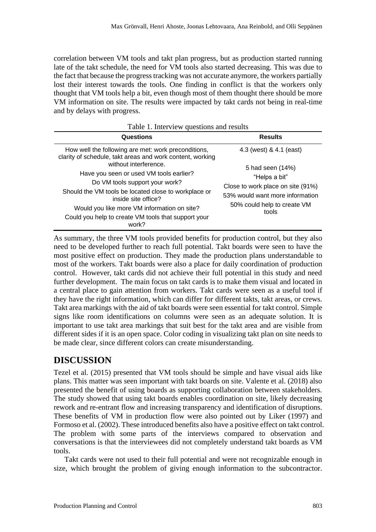correlation between VM tools and takt plan progress, but as production started running late of the takt schedule, the need for VM tools also started decreasing. This was due to the fact that because the progress tracking was not accurate anymore, the workers partially lost their interest towards the tools. One finding in conflict is that the workers only thought that VM tools help a bit, even though most of them thought there should be more VM information on site. The results were impacted by takt cards not being in real-time and by delays with progress.

| Table 1. Interview questions and results                                                                                                                                                                                                                                |                                                                                                                                                   |
|-------------------------------------------------------------------------------------------------------------------------------------------------------------------------------------------------------------------------------------------------------------------------|---------------------------------------------------------------------------------------------------------------------------------------------------|
| Questions                                                                                                                                                                                                                                                               | <b>Results</b>                                                                                                                                    |
| How well the following are met: work preconditions,<br>clarity of schedule, takt areas and work content, working<br>without interference.                                                                                                                               | 4.3 (west) & 4.1 (east)                                                                                                                           |
| Have you seen or used VM tools earlier?<br>Do VM tools support your work?<br>Should the VM tools be located close to workplace or<br>inside site office?<br>Would you like more VM information on site?<br>Could you help to create VM tools that support your<br>work? | 5 had seen (14%)<br>"Helps a bit"<br>Close to work place on site (91%)<br>53% would want more information<br>50% could help to create VM<br>tools |

As summary, the three VM tools provided benefits for production control, but they also need to be developed further to reach full potential. Takt boards were seen to have the most positive effect on production. They made the production plans understandable to most of the workers. Takt boards were also a place for daily coordination of production control. However, takt cards did not achieve their full potential in this study and need further development. The main focus on takt cards is to make them visual and located in a central place to gain attention from workers. Takt cards were seen as a useful tool if they have the right information, which can differ for different takts, takt areas, or crews. Takt area markings with the aid of takt boards were seen essential for takt control. Simple signs like room identifications on columns were seen as an adequate solution. It is important to use takt area markings that suit best for the takt area and are visible from different sides if it is an open space. Color coding in visualizing takt plan on site needs to be made clear, since different colors can create misunderstanding.

# **DISCUSSION**

Tezel et al. (2015) presented that VM tools should be simple and have visual aids like plans. This matter was seen important with takt boards on site. Valente et al. (2018) also presented the benefit of using boards as supporting collaboration between stakeholders. The study showed that using takt boards enables coordination on site, likely decreasing rework and re-entrant flow and increasing transparency and identification of disruptions. These benefits of VM in production flow were also pointed out by Liker (1997) and Formoso et al. (2002). These introduced benefits also have a positive effect on takt control. The problem with some parts of the interviews compared to observation and conversations is that the interviewees did not completely understand takt boards as VM tools.

Takt cards were not used to their full potential and were not recognizable enough in size, which brought the problem of giving enough information to the subcontractor.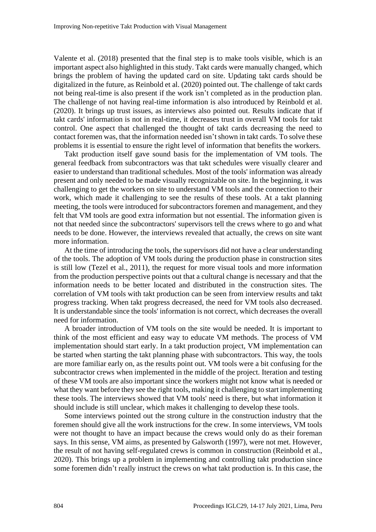Valente et al. (2018) presented that the final step is to make tools visible, which is an important aspect also highlighted in this study. Takt cards were manually changed, which brings the problem of having the updated card on site. Updating takt cards should be digitalized in the future, as Reinbold et al. (2020) pointed out. The challenge of takt cards not being real-time is also present if the work isn't completed as in the production plan. The challenge of not having real-time information is also introduced by Reinbold et al. (2020). It brings up trust issues, as interviews also pointed out. Results indicate that if takt cards' information is not in real-time, it decreases trust in overall VM tools for takt control. One aspect that challenged the thought of takt cards decreasing the need to contact foremen was, that the information needed isn't shown in takt cards. To solve these problems it is essential to ensure the right level of information that benefits the workers.

Takt production itself gave sound basis for the implementation of VM tools. The general feedback from subcontractors was that takt schedules were visually clearer and easier to understand than traditional schedules. Most of the tools' information was already present and only needed to be made visually recognizable on site. In the beginning, it was challenging to get the workers on site to understand VM tools and the connection to their work, which made it challenging to see the results of these tools. At a takt planning meeting, the tools were introduced for subcontractors foremen and management, and they felt that VM tools are good extra information but not essential. The information given is not that needed since the subcontractors' supervisors tell the crews where to go and what needs to be done. However, the interviews revealed that actually, the crews on site want more information.

At the time of introducing the tools, the supervisors did not have a clear understanding of the tools. The adoption of VM tools during the production phase in construction sites is still low (Tezel et al., 2011), the request for more visual tools and more information from the production perspective points out that a cultural change is necessary and that the information needs to be better located and distributed in the construction sites. The correlation of VM tools with takt production can be seen from interview results and takt progress tracking. When takt progress decreased, the need for VM tools also decreased. It is understandable since the tools' information is not correct, which decreases the overall need for information.

A broader introduction of VM tools on the site would be needed. It is important to think of the most efficient and easy way to educate VM methods. The process of VM implementation should start early. In a takt production project, VM implementation can be started when starting the takt planning phase with subcontractors. This way, the tools are more familiar early on, as the results point out. VM tools were a bit confusing for the subcontractor crews when implemented in the middle of the project. Iteration and testing of these VM tools are also important since the workers might not know what is needed or what they want before they see the right tools, making it challenging to start implementing these tools. The interviews showed that VM tools' need is there, but what information it should include is still unclear, which makes it challenging to develop these tools.

Some interviews pointed out the strong culture in the construction industry that the foremen should give all the work instructions for the crew. In some interviews, VM tools were not thought to have an impact because the crews would only do as their foreman says. In this sense, VM aims, as presented by Galsworth (1997), were not met. However, the result of not having self-regulated crews is common in construction (Reinbold et al., 2020). This brings up a problem in implementing and controlling takt production since some foremen didn't really instruct the crews on what takt production is. In this case, the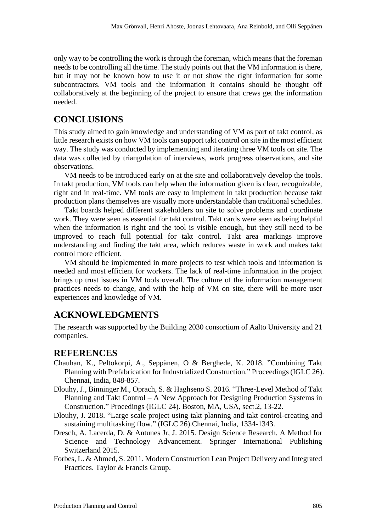only way to be controlling the work is through the foreman, which means that the foreman needs to be controlling all the time. The study points out that the VM information is there, but it may not be known how to use it or not show the right information for some subcontractors. VM tools and the information it contains should be thought off collaboratively at the beginning of the project to ensure that crews get the information needed.

## **CONCLUSIONS**

This study aimed to gain knowledge and understanding of VM as part of takt control, as little research exists on how VM tools can support takt control on site in the most efficient way. The study was conducted by implementing and iterating three VM tools on site. The data was collected by triangulation of interviews, work progress observations, and site observations.

VM needs to be introduced early on at the site and collaboratively develop the tools. In takt production, VM tools can help when the information given is clear, recognizable, right and in real-time. VM tools are easy to implement in takt production because takt production plans themselves are visually more understandable than traditional schedules.

Takt boards helped different stakeholders on site to solve problems and coordinate work. They were seen as essential for takt control. Takt cards were seen as being helpful when the information is right and the tool is visible enough, but they still need to be improved to reach full potential for takt control. Takt area markings improve understanding and finding the takt area, which reduces waste in work and makes takt control more efficient.

VM should be implemented in more projects to test which tools and information is needed and most efficient for workers. The lack of real-time information in the project brings up trust issues in VM tools overall. The culture of the information management practices needs to change, and with the help of VM on site, there will be more user experiences and knowledge of VM.

### **ACKNOWLEDGMENTS**

The research was supported by the Building 2030 consortium of Aalto University and 21 companies.

### **REFERENCES**

- Chauhan, K., Peltokorpi, A., Seppänen, O & Berghede, K. 2018. "Combining Takt Planning with Prefabrication for Industrialized Construction." Proceedings (IGLC 26). Chennai, India, 848-857.
- Dlouhy, J., Binninger M., Oprach, S. & Haghseno S. 2016. "Three-Level Method of Takt Planning and Takt Control – A New Approach for Designing Production Systems in Construction." Proeedings (IGLC 24). Boston, MA, USA, sect.2, 13-22.
- Dlouhy, J. 2018. "Large scale project using takt planning and takt control-creating and sustaining multitasking flow." (IGLC 26).Chennai, India, 1334-1343.
- Dresch, A. Lacerda, D. & Antunes Jr, J. 2015. Design Science Research. A Method for Science and Technology Advancement. Springer International Publishing Switzerland 2015.
- Forbes, L. & Ahmed, S. 2011. Modern Construction Lean Project Delivery and Integrated Practices. Taylor & Francis Group.